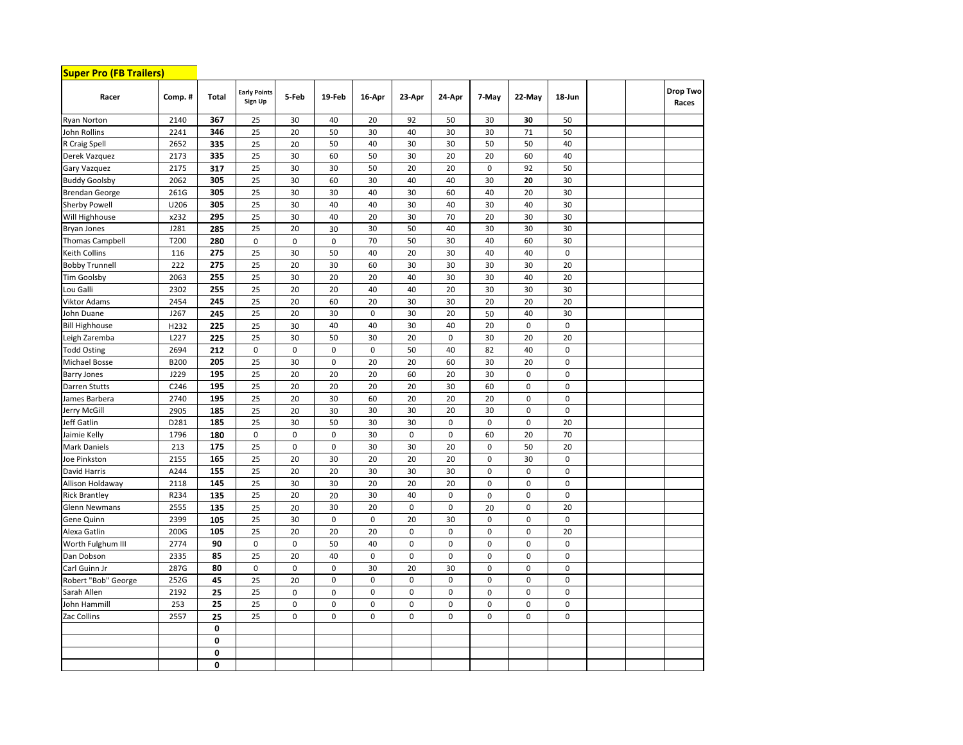| <b>Super Pro (FB Trailers)</b> |        |              |                                |             |             |             |             |             |             |             |             |  |                   |
|--------------------------------|--------|--------------|--------------------------------|-------------|-------------|-------------|-------------|-------------|-------------|-------------|-------------|--|-------------------|
| Racer                          | Comp.# | <b>Total</b> | <b>Early Points</b><br>Sign Up | 5-Feb       | 19-Feb      | 16-Apr      | 23-Apr      | 24-Apr      | 7-May       | 22-May      | 18-Jun      |  | Drop Two<br>Races |
| <b>Ryan Norton</b>             | 2140   | 367          | 25                             | 30          | 40          | 20          | 92          | 50          | 30          | 30          | 50          |  |                   |
| John Rollins                   | 2241   | 346          | 25                             | 20          | 50          | 30          | 40          | 30          | 30          | 71          | 50          |  |                   |
| R Craig Spell                  | 2652   | 335          | 25                             | 20          | 50          | 40          | 30          | 30          | 50          | 50          | 40          |  |                   |
| Derek Vazquez                  | 2173   | 335          | 25                             | 30          | 60          | 50          | 30          | 20          | 20          | 60          | 40          |  |                   |
| Gary Vazquez                   | 2175   | 317          | 25                             | 30          | 30          | 50          | 20          | 20          | $\mathbf 0$ | 92          | 50          |  |                   |
| <b>Buddy Goolsby</b>           | 2062   | 305          | 25                             | 30          | 60          | 30          | 40          | 40          | 30          | 20          | 30          |  |                   |
| Brendan George                 | 261G   | 305          | 25                             | 30          | 30          | 40          | 30          | 60          | 40          | 20          | 30          |  |                   |
| <b>Sherby Powell</b>           | U206   | 305          | 25                             | 30          | 40          | 40          | 30          | 40          | 30          | 40          | 30          |  |                   |
| Will Highhouse                 | x232   | 295          | 25                             | 30          | 40          | 20          | 30          | 70          | 20          | 30          | 30          |  |                   |
| <b>Bryan Jones</b>             | J281   | 285          | 25                             | 20          | 30          | 30          | 50          | 40          | 30          | 30          | 30          |  |                   |
| Thomas Campbell                | T200   | 280          | $\mathbf 0$                    | 0           | 0           | 70          | 50          | 30          | 40          | 60          | 30          |  |                   |
| Keith Collins                  | 116    | 275          | 25                             | 30          | 50          | 40          | 20          | 30          | 40          | 40          | $\mathbf 0$ |  |                   |
| <b>Bobby Trunnell</b>          | 222    | 275          | 25                             | 20          | 30          | 60          | 30          | 30          | 30          | 30          | 20          |  |                   |
| Tim Goolsby                    | 2063   | 255          | 25                             | 30          | 20          | 20          | 40          | 30          | 30          | 40          | 20          |  |                   |
| Lou Galli                      | 2302   | 255          | 25                             | 20          | 20          | 40          | 40          | 20          | 30          | 30          | 30          |  |                   |
| Viktor Adams                   | 2454   | 245          | 25                             | 20          | 60          | 20          | 30          | 30          | 20          | 20          | 20          |  |                   |
| Iohn Duane                     | J267   | 245          | 25                             | 20          | 30          | 0           | 30          | 20          | 50          | 40          | 30          |  |                   |
| <b>Bill Highhouse</b>          | H232   | 225          | 25                             | 30          | 40          | 40          | 30          | 40          | 20          | $\mathbf 0$ | $\pmb{0}$   |  |                   |
| Leigh Zaremba                  | L227   | 225          | 25                             | 30          | 50          | 30          | 20          | $\mathbf 0$ | 30          | 20          | 20          |  |                   |
| <b>Todd Osting</b>             | 2694   | 212          | 0                              | 0           | $\pmb{0}$   | 0           | 50          | 40          | 82          | 40          | $\pmb{0}$   |  |                   |
| Michael Bosse                  | B200   | 205          | 25                             | 30          | $\mathbf 0$ | 20          | 20          | 60          | 30          | 20          | $\mathbf 0$ |  |                   |
| <b>Barry Jones</b>             | J229   | 195          | 25                             | 20          | 20          | 20          | 60          | 20          | 30          | $\mathbf 0$ | $\mathbf 0$ |  |                   |
| Darren Stutts                  | C246   | 195          | 25                             | 20          | 20          | 20          | 20          | 30          | 60          | $\mathbf 0$ | $\mathbf 0$ |  |                   |
| lames Barbera                  | 2740   | 195          | 25                             | 20          | 30          | 60          | 20          | 20          | 20          | $\mathbf 0$ | 0           |  |                   |
| lerry McGill                   | 2905   | 185          | 25                             | 20          | 30          | 30          | 30          | 20          | 30          | $\mathbf 0$ | $\mathbf 0$ |  |                   |
| Jeff Gatlin                    | D281   | 185          | 25                             | 30          | 50          | 30          | 30          | $\mathbf 0$ | $\pmb{0}$   | $\mathbf 0$ | 20          |  |                   |
| laimie Kelly                   | 1796   | 180          | 0                              | $\mathbf 0$ | $\mathbf 0$ | 30          | 0           | $\mathbf 0$ | 60          | 20          | 70          |  |                   |
| Mark Daniels                   | 213    | 175          | 25                             | $\mathbf 0$ | $\mathbf 0$ | 30          | 30          | 20          | $\pmb{0}$   | 50          | 20          |  |                   |
| loe Pinkston                   | 2155   | 165          | 25                             | 20          | 30          | 20          | 20          | 20          | $\pmb{0}$   | 30          | $\mathbf 0$ |  |                   |
| David Harris                   | A244   | 155          | 25                             | 20          | 20          | 30          | 30          | 30          | $\pmb{0}$   | $\mathbf 0$ | $\pmb{0}$   |  |                   |
| Allison Holdaway               | 2118   | 145          | 25                             | 30          | 30          | 20          | 20          | 20          | $\mathbf 0$ | $\mathbf 0$ | $\mathbf 0$ |  |                   |
| <b>Rick Brantley</b>           | R234   | 135          | 25                             | 20          | 20          | 30          | 40          | $\mathbf 0$ | $\mathbf 0$ | $\mathbf 0$ | $\pmb{0}$   |  |                   |
| Glenn Newmans                  | 2555   | 135          | 25                             | 20          | 30          | 20          | $\mathbf 0$ | $\mathbf 0$ | 20          | $\mathbf 0$ | 20          |  |                   |
| Gene Quinn                     | 2399   | 105          | 25                             | 30          | $\pmb{0}$   | $\pmb{0}$   | 20          | 30          | $\pmb{0}$   | $\mathbf 0$ | $\mathbf 0$ |  |                   |
| Alexa Gatlin                   | 200G   | 105          | 25                             | 20          | 20          | 20          | 0           | $\pmb{0}$   | $\mathbf 0$ | $\mathbf 0$ | 20          |  |                   |
| Worth Fulghum III              | 2774   | 90           | 0                              | $\mathbf 0$ | 50          | 40          | 0           | $\mathbf 0$ | $\pmb{0}$   | $\mathbf 0$ | $\mathbf 0$ |  |                   |
| Dan Dobson                     | 2335   | 85           | 25                             | 20          | 40          | $\mathbf 0$ | 0           | $\mathbf 0$ | $\mathbf 0$ | $\mathbf 0$ | $\mathbf 0$ |  |                   |
| Carl Guinn Jr                  | 287G   | 80           | 0                              | $\mathbf 0$ | $\mathbf 0$ | 30          | 20          | 30          | $\pmb{0}$   | $\mathbf 0$ | $\mathbf 0$ |  |                   |
| Robert "Bob" George            | 252G   | 45           | 25                             | 20          | $\mathbf 0$ | $\pmb{0}$   | 0           | $\pmb{0}$   | $\mathbf 0$ | $\mathbf 0$ | $\mathbf 0$ |  |                   |
| Sarah Allen                    | 2192   | 25           | 25                             | $\pmb{0}$   | $\mathbf 0$ | $\pmb{0}$   | 0           | $\mathbf 0$ | $\pmb{0}$   | $\mathbf 0$ | $\pmb{0}$   |  |                   |
| Iohn Hammill                   | 253    | 25           | 25                             | $\mathbf 0$ | $\pmb{0}$   | $\pmb{0}$   | 0           | 0           | $\pmb{0}$   | $\mathbf 0$ | $\mathbf 0$ |  |                   |
| Zac Collins                    | 2557   | 25           | 25                             | $\pmb{0}$   | $\mathbf 0$ | $\mathbf 0$ | 0           | $\pmb{0}$   | $\mathbf 0$ | $\mathbf 0$ | $\mathbf 0$ |  |                   |
|                                |        | 0            |                                |             |             |             |             |             |             |             |             |  |                   |
|                                |        | $\mathbf 0$  |                                |             |             |             |             |             |             |             |             |  |                   |
|                                |        | $\bf{0}$     |                                |             |             |             |             |             |             |             |             |  |                   |
|                                |        | 0            |                                |             |             |             |             |             |             |             |             |  |                   |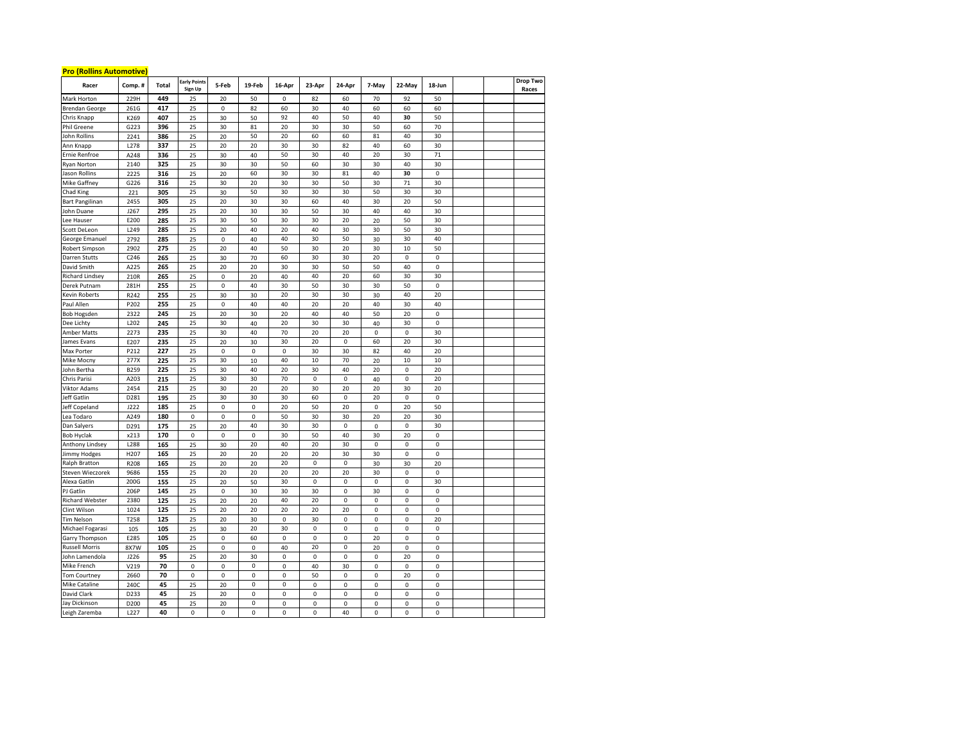## **Pro (Rollins Automotive)**

| <u>LID MUMIN UNIONIDATE</u><br>Racer | Comp.#           | Total      | <b>Early Points</b><br>Sign Up | 5-Feb       | 19-Feb      | 16-Apr    | 23-Apr            | 24-Apr    | 7-May       | 22-May      | 18-Jun           |  | Drop Two<br>Races |
|--------------------------------------|------------------|------------|--------------------------------|-------------|-------------|-----------|-------------------|-----------|-------------|-------------|------------------|--|-------------------|
| Mark Horton                          | 229H             | 449        | 25                             | 20          | 50          | 0         | 82                | 60        | 70          | 92          | 50               |  |                   |
| <b>Brendan George</b>                | 261G             | 417        | 25                             | $\mathbf 0$ | 82          | 60        | 30                | 40        | 60          | 60          | 60               |  |                   |
| Chris Knapp                          | K269             | 407        | 25                             | 30          | 50          | 92        | 40                | 50        | 40          | 30          | 50               |  |                   |
| Phil Greene                          | G223             | 396        | 25                             | 30          | 81          | 20        | 30                | 30        | 50          | 60          | 70               |  |                   |
| John Rollins                         | 2241             | 386        | 25                             | 20          | 50          | 20        | 60                | 60        | 81          | 40          | 30               |  |                   |
| Ann Knapp                            | L278             | 337        | 25                             | 20          | 20          | 30        | 30                | 82        | 40          | 60          | 30               |  |                   |
| Ernie Renfroe                        | A248             | 336        | 25                             | 30          | 40          | 50        | 30                | 40        | 20          | 30          | 71               |  |                   |
| <b>Ryan Norton</b>                   | 2140             | 325        | 25                             | 30          | 30          | 50        | 60                | 30        | 30          | 40          | 30               |  |                   |
| Jason Rollins                        | 2225             | 316        | 25                             | 20          | 60          | 30        | 30                | 81        | 40          | 30          | $\pmb{0}$        |  |                   |
| Mike Gaffney                         | G226             | 316        | 25                             | 30          | 20          | 30        | 30                | 50        | 30          | 71          | 30               |  |                   |
| <b>Chad King</b>                     | 221              | 305        | 25                             | 30          | 50          | 30        | 30                | 30        | 50          | 30          | 30               |  |                   |
| <b>Bart Pangilinan</b>               | 2455             | 305        | 25                             | 20          | 30          | 30        | 60                | 40        | 30          | 20          | 50               |  |                   |
| John Duane                           | J267             | 295        | 25                             | 20          | 30          | 30        | 50                | 30        | 40          | 40          | 30               |  |                   |
| ee Hauser                            | E200             | 285        | 25                             | 30          | 50          | 30        | 30                | 20        | 20          | 50          | 30               |  |                   |
| Scott DeLeon                         | L249             | 285        | 25                             | 20          | 40          | 20        | 40                | 30        | 30          | 50          | 30               |  |                   |
| George Emanuel                       | 2792             | 285        | 25                             | $\mathsf 0$ | 40          | 40        | 30                | 50        | 30          | 30          | 40               |  |                   |
| Robert Simpson                       | 2902             | 275        | 25                             | 20          | 40          | 50        | 30                | 20        | 30          | 10          | 50               |  |                   |
| Darren Stutts                        | C246             | 265        | 25                             | 30          | 70          | 60        | 30                | 30        | 20          | 0           | 0                |  |                   |
| David Smith                          | A225             | 265        | 25                             | 20          | 20          | 30        | 30                | 50        | 50          | 40          | 0                |  |                   |
| Richard Lindsey                      | 210R             | 265        | 25                             | 0           | 20          | 40        | 40                | 20        | 60          | 30          | 30               |  |                   |
| Derek Putnam                         | 281H             | 255        | 25                             | 0           | 40          | 30        | 50                | 30        | 30          | 50          | $\pmb{0}$        |  |                   |
| <b>Kevin Roberts</b>                 | R242             | 255        | 25                             | 30          | 30          | 20        | 30                | 30        | 30          | 40          | 20               |  |                   |
| aul Allen                            | P202             | 255        |                                | $\mathbf 0$ | 40          | 40        | 20                | 20        | 40          | 30          | 40               |  |                   |
| <b>Bob Hogsden</b>                   | 2322             | 245        | 25<br>25                       | 20          | 30          | 20        | 40                | 40        | 50          | 20          | $\mathbf 0$      |  |                   |
| Dee Lichty                           | L202             | 245        | 25                             | 30          | 40          | 20        | 30                | 30        | 40          | 30          | 0                |  |                   |
| Amber Matts                          | 2273             | 235        | 25                             | 30          | 40          | 70        | 20                | 20        | 0           | $\mathbf 0$ | 30               |  |                   |
| James Evans                          | E207             | 235        | 25                             | 20          | 30          | 30        | 20                | 0         | 60          | 20          | 30               |  |                   |
| <b>Max Porter</b>                    | P212             | 227        | 25                             | 0           | 0           | 0         | 30                | 30        | 82          | 40          | 20               |  |                   |
| Mike Mocny                           | 277X             | 225        | 25                             | 30          |             | 40        | 10                | 70        |             | 10          | 10               |  |                   |
| John Bertha                          | B259             | 225        | 25                             | 30          | 10<br>40    | 20        | 30                | 40        | 20<br>20    | $\mathbf 0$ | 20               |  |                   |
| Chris Parisi                         | A203             | 215        | 25                             | 30          | 30          | 70        | 0                 | $\pmb{0}$ | 40          | 0           | 20               |  |                   |
| <b>Viktor Adams</b>                  | 2454             | 215        | 25                             | 30          | 20          | 20        | 30                | 20        | 20          | 30          | 20               |  |                   |
| Jeff Gatlin                          | D281             | 195        | 25                             | 30          | 30          | 30        | 60                | 0         | 20          | $\mathbf 0$ | $\pmb{0}$        |  |                   |
| Jeff Copeland                        | J222             | 185        | 25                             | 0           | 0           | 20        | 50                | 20        | 0           | 20          | 50               |  |                   |
| Lea Todaro                           | A249             | 180        | $\mathbf 0$                    | 0           | 0           | 50        | 30                | 30        | 20          | 20          | 30               |  |                   |
|                                      | D291             | 175        | 25                             | 20          | 40          | 30        |                   | $\pmb{0}$ | $\mathsf 0$ | $\mathbf 0$ | 30               |  |                   |
| Dan Salyers<br><b>Bob Hyclak</b>     |                  | 170        | $\pmb{0}$                      | $\mathsf 0$ | 0           | 30        | 30                | 40        | 30          | 20          | 0                |  |                   |
|                                      | x213<br>L288     | 165        |                                | 30          | 20          | 40        | 50                | 30        | 0           | 0           | $\pmb{0}$        |  |                   |
| Anthony Lindsey                      | H207             |            | 25<br>25                       | 20          |             | 20        | 20<br>20          | 30        | 30          | 0           | 0                |  |                   |
| Jimmy Hodges<br>Ralph Bratton        | R208             | 165<br>165 | 25                             | 20          | 20<br>20    | 20        | $\mathsf 0$       | 0         | 30          | 30          | 20               |  |                   |
| Steven Wieczorek                     | 9686             | 155        | 25                             | 20          | 20          | 20        | 20                | 20        | 30          | $\mathbf 0$ | $\mathbf 0$      |  |                   |
| Alexa Gatlin                         | 200G             | 155        | 25                             | 20          | 50          | 30        | 0                 | 0         | 0           | $\mathbf 0$ | 30               |  |                   |
| PJ Gatlin                            | 206P             | 145        | 25                             | $\pmb{0}$   | 30          | 30        | 30                | $\pmb{0}$ | 30          | 0           | $\pmb{0}$        |  |                   |
| <b>Richard Webster</b>               | 2380             | 125        | 25                             | 20          | 20          | 40        | 20                | $\pmb{0}$ | 0           | 0           | 0                |  |                   |
| Clint Wilson                         | 1024             |            | 25                             | 20          |             | 20        | 20                | 20        | 0           | 0           | $\pmb{0}$        |  |                   |
| <b>Tim Nelson</b>                    | T258             | 125<br>125 | 25                             | 20          | 20<br>30    | 0         | 30                | 0         |             | 0           | 20               |  |                   |
|                                      | 105              | 105        | 25                             | 30          | 20          | 30        | 0                 | 0         | 0<br>0      | $\mathbf 0$ | 0                |  |                   |
| Michael Fogarasi                     |                  |            |                                |             |             |           |                   | 0         |             | $\mathbf 0$ |                  |  |                   |
| Garry Thompson                       | E285<br>8X7W     | 105<br>105 | 25                             | 0<br>0      | 60          | 0<br>40   | 0                 | $\pmb{0}$ | 20<br>20    | $\mathbf 0$ | $\mathsf 0$<br>0 |  |                   |
| <b>Russell Morris</b>                |                  |            | 25                             |             | 0           | $\pmb{0}$ | 20<br>$\mathbf 0$ |           |             |             |                  |  |                   |
| John Lamendola                       | J226             | 95         | 25                             | 20          | 30          |           |                   | $\pmb{0}$ | $\mathbf 0$ | 20          | $\mathbf 0$      |  |                   |
| Mike French                          | V219             | 70         | $\pmb{0}$                      | 0           | 0           | $\pmb{0}$ | 40                | 30        | 0           | 0           | 0                |  |                   |
| Tom Courtney                         | 2660             | 70         | $\mathbf 0$                    | 0           | $\mathbf 0$ | 0         | 50                | 0         | 0           | 20          | 0                |  |                   |
| <b>Mike Cataline</b>                 | 240C             | 45         | 25                             | 20          | 0           | 0         | 0                 | 0         | 0           | 0           | 0                |  |                   |
| David Clark                          | D233             | 45         | 25                             | 20          | 0           | 0         | 0                 | 0         | 0           | 0           | 0                |  |                   |
| Jay Dickinson                        | D200             | 45         | 25                             | 20          | 0           | 0         | 0                 | 0         | 0           | 0           | 0                |  |                   |
| Leigh Zaremba                        | L <sub>227</sub> | 40         | 0                              | 0           | 0           | 0         | 0                 | 40        | 0           | 0           | 0                |  |                   |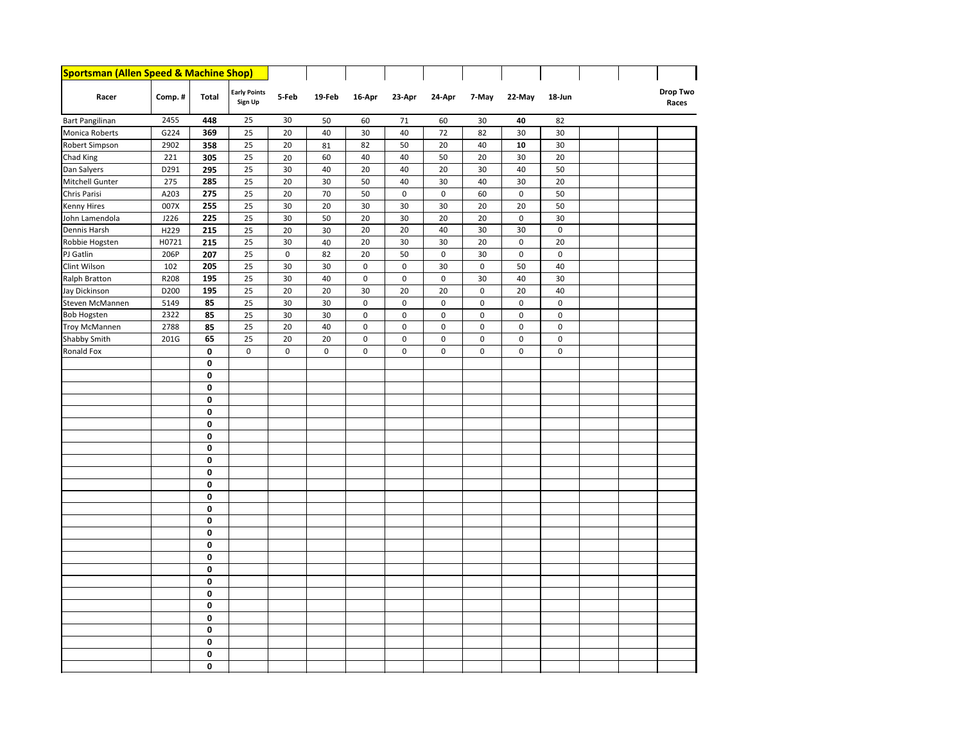| Sportsman (Allen Speed & Machine Shop) |        |              |                                |             |        |             |             |             |             |             |             |  |                   |
|----------------------------------------|--------|--------------|--------------------------------|-------------|--------|-------------|-------------|-------------|-------------|-------------|-------------|--|-------------------|
| Racer                                  | Comp.# | <b>Total</b> | <b>Early Points</b><br>Sign Up | 5-Feb       | 19-Feb | 16-Apr      | 23-Apr      | 24-Apr      | 7-May       | 22-May      | 18-Jun      |  | Drop Two<br>Races |
| <b>Bart Pangilinan</b>                 | 2455   | 448          | 25                             | 30          | 50     | 60          | 71          | 60          | 30          | 40          | 82          |  |                   |
| Monica Roberts                         | G224   | 369          | 25                             | 20          | 40     | 30          | 40          | 72          | 82          | 30          | 30          |  |                   |
| Robert Simpson                         | 2902   | 358          | 25                             | 20          | 81     | 82          | 50          | 20          | 40          | 10          | 30          |  |                   |
| Chad King                              | 221    | 305          | 25                             | 20          | 60     | 40          | 40          | 50          | 20          | 30          | 20          |  |                   |
| Dan Salyers                            | D291   | 295          | 25                             | 30          | 40     | 20          | 40          | 20          | 30          | 40          | 50          |  |                   |
| Mitchell Gunter                        | 275    | 285          | 25                             | 20          | 30     | 50          | 40          | 30          | 40          | 30          | 20          |  |                   |
| Chris Parisi                           | A203   | 275          | 25                             | 20          | 70     | 50          | 0           | $\pmb{0}$   | 60          | $\pmb{0}$   | 50          |  |                   |
| Kenny Hires                            | 007X   | 255          | 25                             | 30          | 20     | 30          | 30          | 30          | 20          | 20          | 50          |  |                   |
| John Lamendola                         | J226   | 225          | 25                             | 30          | 50     | 20          | 30          | 20          | 20          | $\mathbf 0$ | 30          |  |                   |
| Dennis Harsh                           | H229   | 215          | 25                             | 20          | 30     | 20          | 20          | 40          | 30          | 30          | $\mathsf 0$ |  |                   |
| Robbie Hogsten                         | H0721  | 215          | 25                             | 30          | 40     | 20          | 30          | 30          | 20          | $\pmb{0}$   | 20          |  |                   |
| PJ Gatlin                              | 206P   | 207          | 25                             | $\mathbf 0$ | 82     | 20          | 50          | $\mathbf 0$ | 30          | $\mathbf 0$ | $\mathbf 0$ |  |                   |
| Clint Wilson                           | 102    | 205          | 25                             | 30          | 30     | $\mathbf 0$ | 0           | 30          | $\mathbf 0$ | 50          | 40          |  |                   |
| Ralph Bratton                          | R208   | 195          | 25                             | 30          | 40     | 0           | $\mathbf 0$ | $\pmb{0}$   | 30          | 40          | 30          |  |                   |
| Jay Dickinson                          | D200   | 195          | 25                             | 20          | 20     | 30          | 20          | 20          | 0           | 20          | 40          |  |                   |
| Steven McMannen                        | 5149   | 85           | 25                             | 30          | 30     | $\mathbf 0$ | $\pmb{0}$   | $\pmb{0}$   | 0           | $\mathsf 0$ | 0           |  |                   |
| <b>Bob Hogsten</b>                     | 2322   | 85           | 25                             | 30          | 30     | 0           | $\pmb{0}$   | $\pmb{0}$   | 0           | $\mathsf 0$ | 0           |  |                   |
| <b>Troy McMannen</b>                   | 2788   | 85           | 25                             | 20          | 40     | 0           | $\pmb{0}$   | $\pmb{0}$   | 0           | $\pmb{0}$   | $\mathbf 0$ |  |                   |
| Shabby Smith                           | 201G   | 65           | 25                             | 20          | 20     | 0           | $\pmb{0}$   | $\pmb{0}$   | 0           | $\pmb{0}$   | $\mathsf 0$ |  |                   |
| Ronald Fox                             |        | 0            | $\pmb{0}$                      | $\mathbf 0$ | 0      | 0           | $\pmb{0}$   | $\pmb{0}$   | 0           | $\pmb{0}$   | $\mathsf 0$ |  |                   |
|                                        |        | 0            |                                |             |        |             |             |             |             |             |             |  |                   |
|                                        |        | $\pmb{0}$    |                                |             |        |             |             |             |             |             |             |  |                   |
|                                        |        | $\pmb{0}$    |                                |             |        |             |             |             |             |             |             |  |                   |
|                                        |        | 0            |                                |             |        |             |             |             |             |             |             |  |                   |
|                                        |        | $\pmb{0}$    |                                |             |        |             |             |             |             |             |             |  |                   |
|                                        |        | $\bf{0}$     |                                |             |        |             |             |             |             |             |             |  |                   |
|                                        |        | 0            |                                |             |        |             |             |             |             |             |             |  |                   |
|                                        |        | 0            |                                |             |        |             |             |             |             |             |             |  |                   |
|                                        |        | $\pmb{0}$    |                                |             |        |             |             |             |             |             |             |  |                   |
|                                        |        | $\bf{0}$     |                                |             |        |             |             |             |             |             |             |  |                   |
|                                        |        | 0            |                                |             |        |             |             |             |             |             |             |  |                   |
|                                        |        | 0            |                                |             |        |             |             |             |             |             |             |  |                   |
|                                        |        | $\pmb{0}$    |                                |             |        |             |             |             |             |             |             |  |                   |
|                                        |        | 0            |                                |             |        |             |             |             |             |             |             |  |                   |
|                                        |        | 0            |                                |             |        |             |             |             |             |             |             |  |                   |
|                                        |        | 0            |                                |             |        |             |             |             |             |             |             |  |                   |
|                                        |        | $\pmb{0}$    |                                |             |        |             |             |             |             |             |             |  |                   |
|                                        |        | $\pmb{0}$    |                                |             |        |             |             |             |             |             |             |  |                   |
|                                        |        | 0            |                                |             |        |             |             |             |             |             |             |  |                   |
|                                        |        | 0            |                                |             |        |             |             |             |             |             |             |  |                   |
|                                        |        | $\pmb{0}$    |                                |             |        |             |             |             |             |             |             |  |                   |
|                                        |        | 0            |                                |             |        |             |             |             |             |             |             |  |                   |
|                                        |        | 0            |                                |             |        |             |             |             |             |             |             |  |                   |
|                                        |        | $\pmb{0}$    |                                |             |        |             |             |             |             |             |             |  |                   |
|                                        |        | $\pmb{0}$    |                                |             |        |             |             |             |             |             |             |  |                   |
|                                        |        | $\pmb{0}$    |                                |             |        |             |             |             |             |             |             |  |                   |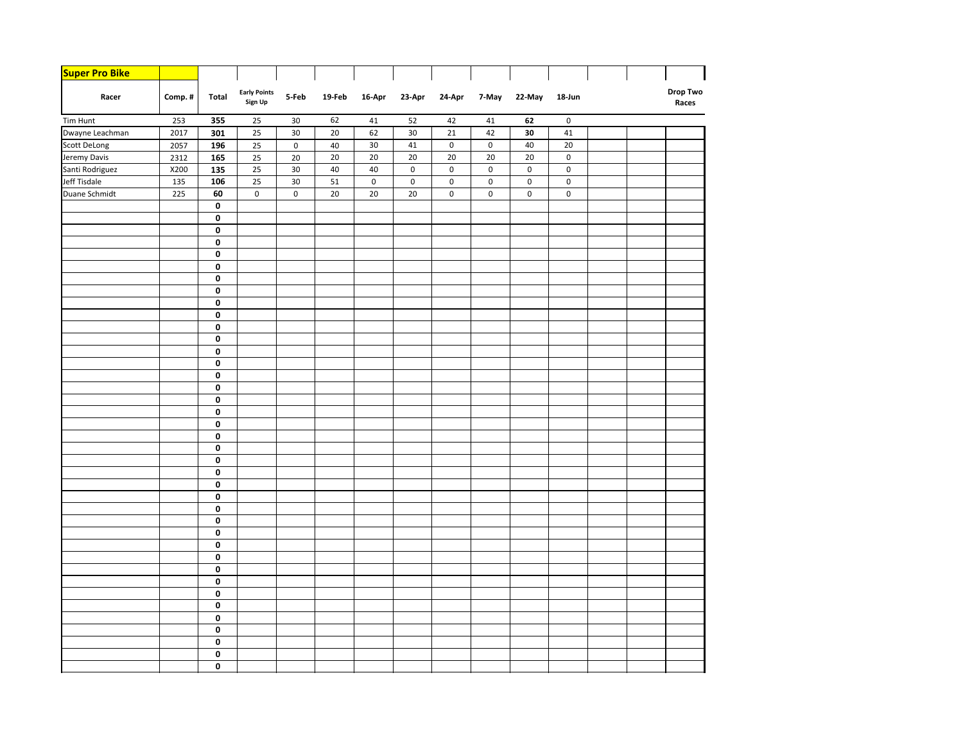| <b>Super Pro Bike</b> |        |                         |                                |                |        |        |           |                     |             |        |             |  |                          |
|-----------------------|--------|-------------------------|--------------------------------|----------------|--------|--------|-----------|---------------------|-------------|--------|-------------|--|--------------------------|
| Racer                 | Comp.# | Total                   | <b>Early Points</b><br>Sign Up | 5-Feb          | 19-Feb | 16-Apr | 23-Apr    | 24-Apr              | 7-May       | 22-May | 18-Jun      |  | <b>Drop Two</b><br>Races |
| Tim Hunt              | 253    | 355                     | 25                             | 30             | 62     | 41     | 52        | 42                  | 41          | 62     | $\mathbf 0$ |  |                          |
| Dwayne Leachman       | 2017   | 301                     | 25                             | 30             | 20     | 62     | 30        | 21                  | 42          | 30     | 41          |  |                          |
| <b>Scott DeLong</b>   | 2057   | 196                     | 25                             | $\mathsf{o}\,$ | 40     | 30     | 41        | $\mathsf{O}\xspace$ | $\mathsf 0$ | 40     | 20          |  |                          |
| Jeremy Davis          | 2312   | 165                     | 25                             | 20             | 20     | 20     | 20        | 20                  | 20          | 20     | $\mathsf 0$ |  |                          |
| Santi Rodriguez       | X200   | 135                     | 25                             | $30\,$         | 40     | 40     | $\pmb{0}$ | 0                   | $\mathbf 0$ | 0      | $\pmb{0}$   |  |                          |
| Jeff Tisdale          | 135    | 106                     | 25                             | 30             | 51     | 0      | $\pmb{0}$ | 0                   | $\pmb{0}$   | 0      | 0           |  |                          |
| Duane Schmidt         | 225    | 60                      | 0                              | $\mathsf 0$    | 20     | 20     | 20        | $\mathsf{O}\xspace$ | $\pmb{0}$   | 0      | $\pmb{0}$   |  |                          |
|                       |        | 0                       |                                |                |        |        |           |                     |             |        |             |  |                          |
|                       |        | 0                       |                                |                |        |        |           |                     |             |        |             |  |                          |
|                       |        | 0                       |                                |                |        |        |           |                     |             |        |             |  |                          |
|                       |        | 0                       |                                |                |        |        |           |                     |             |        |             |  |                          |
|                       |        | 0                       |                                |                |        |        |           |                     |             |        |             |  |                          |
|                       |        | 0                       |                                |                |        |        |           |                     |             |        |             |  |                          |
|                       |        | $\overline{\mathbf{0}}$ |                                |                |        |        |           |                     |             |        |             |  |                          |
|                       |        | 0                       |                                |                |        |        |           |                     |             |        |             |  |                          |
|                       |        | 0                       |                                |                |        |        |           |                     |             |        |             |  |                          |
|                       |        | 0                       |                                |                |        |        |           |                     |             |        |             |  |                          |
|                       |        | 0<br>0                  |                                |                |        |        |           |                     |             |        |             |  |                          |
|                       |        | 0                       |                                |                |        |        |           |                     |             |        |             |  |                          |
|                       |        | 0                       |                                |                |        |        |           |                     |             |        |             |  |                          |
|                       |        | 0                       |                                |                |        |        |           |                     |             |        |             |  |                          |
|                       |        | 0                       |                                |                |        |        |           |                     |             |        |             |  |                          |
|                       |        | 0                       |                                |                |        |        |           |                     |             |        |             |  |                          |
|                       |        | 0                       |                                |                |        |        |           |                     |             |        |             |  |                          |
|                       |        | 0                       |                                |                |        |        |           |                     |             |        |             |  |                          |
|                       |        | 0                       |                                |                |        |        |           |                     |             |        |             |  |                          |
|                       |        | 0                       |                                |                |        |        |           |                     |             |        |             |  |                          |
|                       |        | 0                       |                                |                |        |        |           |                     |             |        |             |  |                          |
|                       |        | 0                       |                                |                |        |        |           |                     |             |        |             |  |                          |
|                       |        | $\overline{\mathbf{0}}$ |                                |                |        |        |           |                     |             |        |             |  |                          |
|                       |        | 0                       |                                |                |        |        |           |                     |             |        |             |  |                          |
|                       |        | 0                       |                                |                |        |        |           |                     |             |        |             |  |                          |
|                       |        | $\overline{\mathbf{0}}$ |                                |                |        |        |           |                     |             |        |             |  |                          |
|                       |        | $\overline{\mathbf{0}}$ |                                |                |        |        |           |                     |             |        |             |  |                          |
|                       |        | 0                       |                                |                |        |        |           |                     |             |        |             |  |                          |
|                       |        | 0                       |                                |                |        |        |           |                     |             |        |             |  |                          |
|                       |        | 0                       |                                |                |        |        |           |                     |             |        |             |  |                          |
|                       |        | 0                       |                                |                |        |        |           |                     |             |        |             |  |                          |
|                       |        | 0                       |                                |                |        |        |           |                     |             |        |             |  |                          |
|                       |        | $\overline{\mathbf{0}}$ |                                |                |        |        |           |                     |             |        |             |  |                          |
|                       |        | 0                       |                                |                |        |        |           |                     |             |        |             |  |                          |
|                       |        | 0                       |                                |                |        |        |           |                     |             |        |             |  |                          |
|                       |        | 0                       |                                |                |        |        |           |                     |             |        |             |  |                          |
|                       |        | 0                       |                                |                |        |        |           |                     |             |        |             |  |                          |
|                       |        | 0                       |                                |                |        |        |           |                     |             |        |             |  |                          |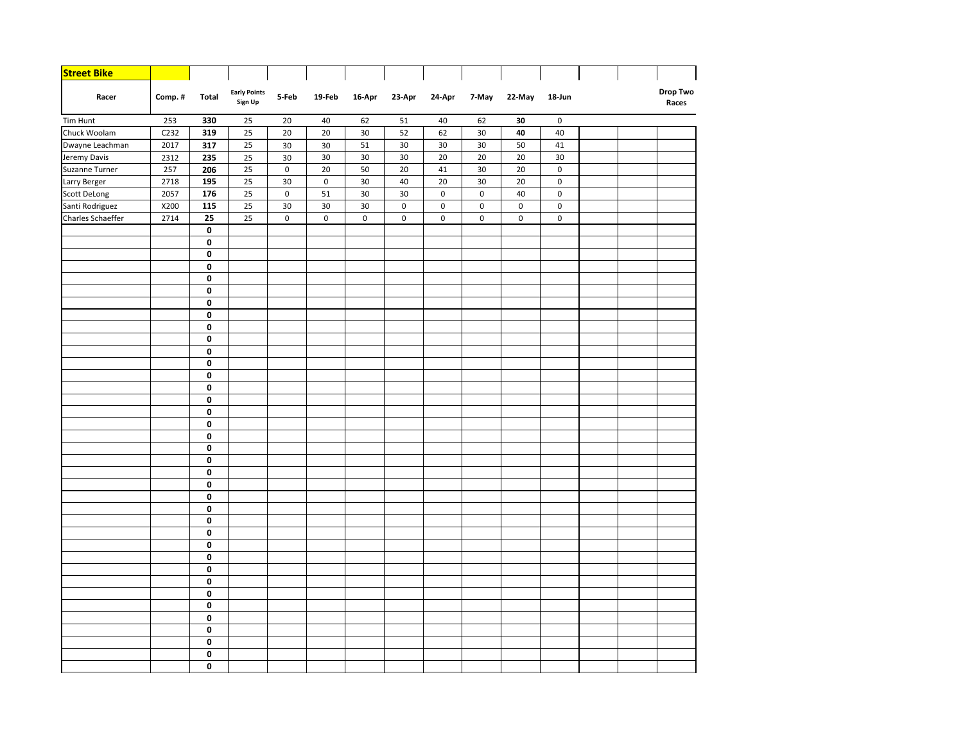| <b>Street Bike</b> |        |                 |                                |             |                     |           |             |           |             |             |             |  |                   |
|--------------------|--------|-----------------|--------------------------------|-------------|---------------------|-----------|-------------|-----------|-------------|-------------|-------------|--|-------------------|
| Racer              | Comp.# | Total           | <b>Early Points</b><br>Sign Up | 5-Feb       | 19-Feb              | 16-Apr    | 23-Apr      | 24-Apr    | 7-May       | 22-May      | 18-Jun      |  | Drop Two<br>Races |
| Tim Hunt           | 253    | 330             | 25                             | 20          | 40                  | 62        | 51          | 40        | 62          | 30          | $\mathbf 0$ |  |                   |
| Chuck Woolam       | C232   | 319             | 25                             | 20          | 20                  | 30        | 52          | 62        | 30          | 40          | 40          |  |                   |
| Dwayne Leachman    | 2017   | 317             | 25                             | 30          | 30                  | 51        | 30          | 30        | 30          | 50          | 41          |  |                   |
| Jeremy Davis       | 2312   | 235             | 25                             | 30          | 30                  | 30        | 30          | 20        | 20          | 20          | 30          |  |                   |
| Suzanne Turner     | 257    | 206             | 25                             | $\pmb{0}$   | 20                  | 50        | 20          | $41\,$    | 30          | 20          | $\mathsf 0$ |  |                   |
| Larry Berger       | 2718   | 195             | 25                             | 30          | $\mathsf{O}\xspace$ | 30        | 40          | 20        | 30          | 20          | $\pmb{0}$   |  |                   |
| Scott DeLong       | 2057   | $\frac{1}{176}$ | 25                             | $\mathsf 0$ | 51                  | 30        | 30          | $\pmb{0}$ | $\mathsf 0$ | 40          | $\pmb{0}$   |  |                   |
| Santi Rodriguez    | X200   | 115             | 25                             | 30          | 30                  | 30        | $\pmb{0}$   | $\pmb{0}$ | $\pmb{0}$   | $\mathbf 0$ | 0           |  |                   |
| Charles Schaeffer  | 2714   | 25              | 25                             | $\pmb{0}$   | 0                   | $\pmb{0}$ | $\mathsf 0$ | $\pmb{0}$ | $\pmb{0}$   | 0           | 0           |  |                   |
|                    |        | 0               |                                |             |                     |           |             |           |             |             |             |  |                   |
|                    |        | 0               |                                |             |                     |           |             |           |             |             |             |  |                   |
|                    |        | 0               |                                |             |                     |           |             |           |             |             |             |  |                   |
|                    |        | 0               |                                |             |                     |           |             |           |             |             |             |  |                   |
|                    |        | 0               |                                |             |                     |           |             |           |             |             |             |  |                   |
|                    |        | 0               |                                |             |                     |           |             |           |             |             |             |  |                   |
|                    |        | 0               |                                |             |                     |           |             |           |             |             |             |  |                   |
|                    |        | 0               |                                |             |                     |           |             |           |             |             |             |  |                   |
|                    |        | 0               |                                |             |                     |           |             |           |             |             |             |  |                   |
|                    |        | 0               |                                |             |                     |           |             |           |             |             |             |  |                   |
|                    |        | 0               |                                |             |                     |           |             |           |             |             |             |  |                   |
|                    |        | 0               |                                |             |                     |           |             |           |             |             |             |  |                   |
|                    |        | 0               |                                |             |                     |           |             |           |             |             |             |  |                   |
|                    |        | 0               |                                |             |                     |           |             |           |             |             |             |  |                   |
|                    |        | 0               |                                |             |                     |           |             |           |             |             |             |  |                   |
|                    |        | 0               |                                |             |                     |           |             |           |             |             |             |  |                   |
|                    |        | 0               |                                |             |                     |           |             |           |             |             |             |  |                   |
|                    |        | 0               |                                |             |                     |           |             |           |             |             |             |  |                   |
|                    |        | 0               |                                |             |                     |           |             |           |             |             |             |  |                   |
|                    |        | 0               |                                |             |                     |           |             |           |             |             |             |  |                   |
|                    |        | 0               |                                |             |                     |           |             |           |             |             |             |  |                   |
|                    |        | 0               |                                |             |                     |           |             |           |             |             |             |  |                   |
|                    |        | 0<br>0          |                                |             |                     |           |             |           |             |             |             |  |                   |
|                    |        | 0               |                                |             |                     |           |             |           |             |             |             |  |                   |
|                    |        | 0               |                                |             |                     |           |             |           |             |             |             |  |                   |
|                    |        | 0               |                                |             |                     |           |             |           |             |             |             |  |                   |
|                    |        | 0               |                                |             |                     |           |             |           |             |             |             |  |                   |
|                    |        | 0               |                                |             |                     |           |             |           |             |             |             |  |                   |
|                    |        | 0               |                                |             |                     |           |             |           |             |             |             |  |                   |
|                    |        | 0               |                                |             |                     |           |             |           |             |             |             |  |                   |
|                    |        | 0               |                                |             |                     |           |             |           |             |             |             |  |                   |
|                    |        | 0               |                                |             |                     |           |             |           |             |             |             |  |                   |
|                    |        | 0               |                                |             |                     |           |             |           |             |             |             |  |                   |
|                    |        | 0               |                                |             |                     |           |             |           |             |             |             |  |                   |
|                    |        | 0               |                                |             |                     |           |             |           |             |             |             |  |                   |
|                    |        | 0               |                                |             |                     |           |             |           |             |             |             |  |                   |
|                    |        |                 |                                |             |                     |           |             |           |             |             |             |  |                   |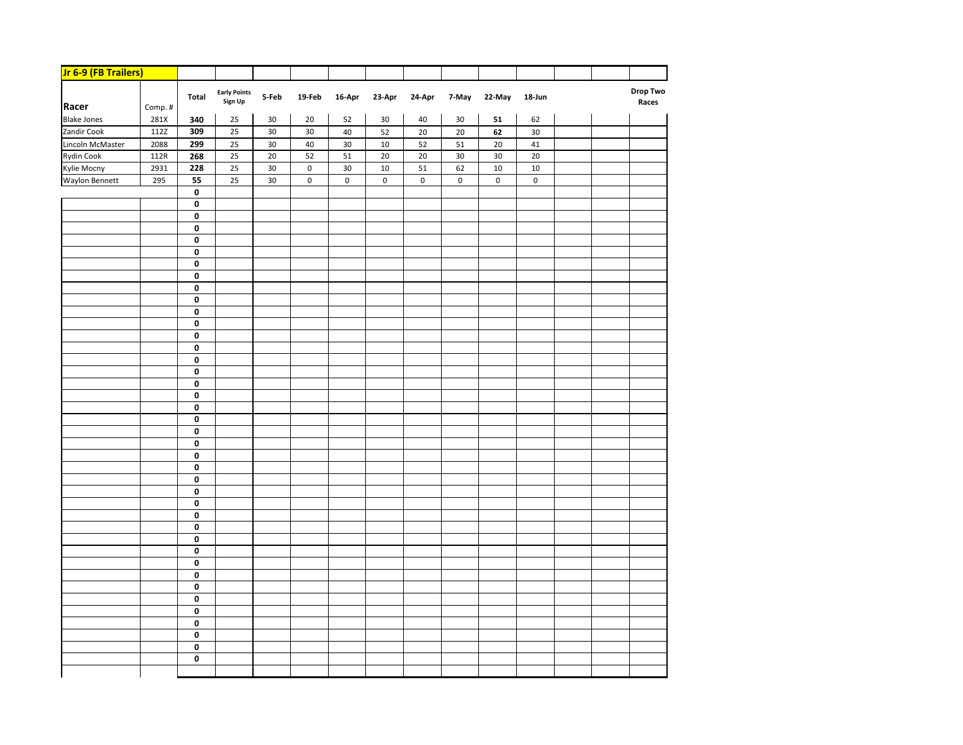| Jr 6-9 (FB Trailers) |        |             |                                |        |           |           |           |           |           |            |           |  |                          |
|----------------------|--------|-------------|--------------------------------|--------|-----------|-----------|-----------|-----------|-----------|------------|-----------|--|--------------------------|
| Racer                | Comp.# | Total       | <b>Early Points</b><br>Sign Up | 5-Feb  | 19-Feb    | 16-Apr    | 23-Apr    | 24-Apr    | 7-May     | 22-May     | 18-Jun    |  | <b>Drop Two</b><br>Races |
| <b>Blake Jones</b>   | 281X   | 340         | 25                             | 30     | 20        | 52        | $30\,$    | 40        | 30        | ${\bf 51}$ | 62        |  |                          |
| Zandir Cook          | 112Z   | 309         | 25                             | $30\,$ | 30        | 40        | 52        | 20        | 20        | 62         | 30        |  |                          |
| Lincoln McMaster     | 2088   | 299         | 25                             | 30     | 40        | 30        | 10        | 52        | 51        | 20         | 41        |  |                          |
| <b>Rydin Cook</b>    | 112R   | 268         | 25                             | 20     | 52        | 51        | 20        | 20        | 30        | 30         | 20        |  |                          |
| Kylie Mocny          | 2931   | 228         | 25                             | 30     | $\pmb{0}$ | 30        | 10        | 51        | 62        | 10         | 10        |  |                          |
| Waylon Bennett       | 295    | 55          | 25                             | $30\,$ | $\pmb{0}$ | $\pmb{0}$ | $\pmb{0}$ | $\pmb{0}$ | $\pmb{0}$ | $\pmb{0}$  | $\pmb{0}$ |  |                          |
|                      |        | $\pmb{0}$   |                                |        |           |           |           |           |           |            |           |  |                          |
|                      |        | 0           |                                |        |           |           |           |           |           |            |           |  |                          |
|                      |        | 0           |                                |        |           |           |           |           |           |            |           |  |                          |
|                      |        | 0           |                                |        |           |           |           |           |           |            |           |  |                          |
|                      |        | 0           |                                |        |           |           |           |           |           |            |           |  |                          |
|                      |        | 0           |                                |        |           |           |           |           |           |            |           |  |                          |
|                      |        | 0           |                                |        |           |           |           |           |           |            |           |  |                          |
|                      |        | $\mathbf 0$ |                                |        |           |           |           |           |           |            |           |  |                          |
|                      |        | $\mathbf 0$ |                                |        |           |           |           |           |           |            |           |  |                          |
|                      |        | $\mathbf 0$ |                                |        |           |           |           |           |           |            |           |  |                          |
|                      |        | 0           |                                |        |           |           |           |           |           |            |           |  |                          |
|                      |        | 0           |                                |        |           |           |           |           |           |            |           |  |                          |
|                      |        | 0           |                                |        |           |           |           |           |           |            |           |  |                          |
|                      |        | 0           |                                |        |           |           |           |           |           |            |           |  |                          |
|                      |        | 0           |                                |        |           |           |           |           |           |            |           |  |                          |
|                      |        | $\mathbf 0$ |                                |        |           |           |           |           |           |            |           |  |                          |
|                      |        | 0           |                                |        |           |           |           |           |           |            |           |  |                          |
|                      |        | 0<br>0      |                                |        |           |           |           |           |           |            |           |  |                          |
|                      |        | $\pmb{0}$   |                                |        |           |           |           |           |           |            |           |  |                          |
|                      |        | 0           |                                |        |           |           |           |           |           |            |           |  |                          |
|                      |        | 0           |                                |        |           |           |           |           |           |            |           |  |                          |
|                      |        | $\mathbf 0$ |                                |        |           |           |           |           |           |            |           |  |                          |
|                      |        | 0           |                                |        |           |           |           |           |           |            |           |  |                          |
|                      |        | 0           |                                |        |           |           |           |           |           |            |           |  |                          |
|                      |        | 0           |                                |        |           |           |           |           |           |            |           |  |                          |
|                      |        | 0           |                                |        |           |           |           |           |           |            |           |  |                          |
|                      |        | 0           |                                |        |           |           |           |           |           |            |           |  |                          |
|                      |        | 0           |                                |        |           |           |           |           |           |            |           |  |                          |
|                      |        | $\mathbf 0$ |                                |        |           |           |           |           |           |            |           |  |                          |
|                      |        | 0           |                                |        |           |           |           |           |           |            |           |  |                          |
|                      |        | 0           |                                |        |           |           |           |           |           |            |           |  |                          |
|                      |        | 0           |                                |        |           |           |           |           |           |            |           |  |                          |
|                      |        | 0           |                                |        |           |           |           |           |           |            |           |  |                          |
|                      |        | 0           |                                |        |           |           |           |           |           |            |           |  |                          |
|                      |        | $\pmb{0}$   |                                |        |           |           |           |           |           |            |           |  |                          |
|                      |        | 0           |                                |        |           |           |           |           |           |            |           |  |                          |
|                      |        | 0           |                                |        |           |           |           |           |           |            |           |  |                          |
|                      |        | 0           |                                |        |           |           |           |           |           |            |           |  |                          |
|                      |        | $\pmb{0}$   |                                |        |           |           |           |           |           |            |           |  |                          |
|                      |        |             |                                |        |           |           |           |           |           |            |           |  |                          |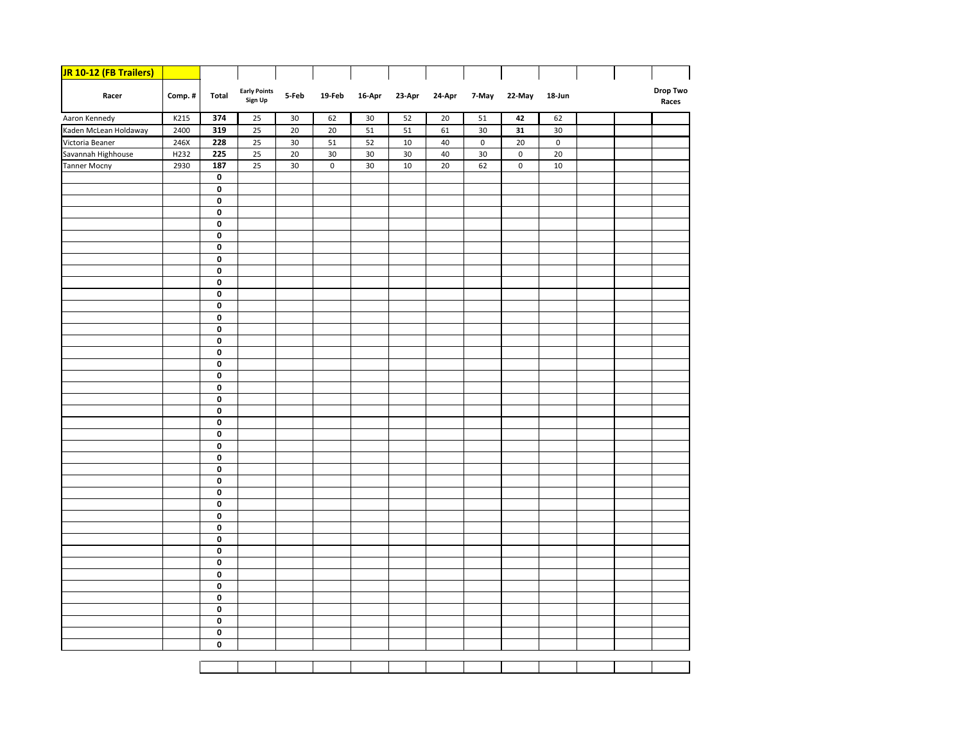| <b>JR 10-12 (FB Trailers)</b>      |        |                        |                                |        |                     |           |        |        |                     |             |                     |  |                   |
|------------------------------------|--------|------------------------|--------------------------------|--------|---------------------|-----------|--------|--------|---------------------|-------------|---------------------|--|-------------------|
| Racer                              | Comp.# | <b>Total</b>           | <b>Early Points</b><br>Sign Up | 5-Feb  | 19-Feb              | $16$ -Apr | 23-Apr | 24-Apr | 7-May               | 22-May      | 18-Jun              |  | Drop Two<br>Races |
| Aaron Kennedy                      | K215   | 374                    | 25                             | 30     | 62                  | 30        | 52     | 20     | 51                  | 42          | 62                  |  |                   |
| Kaden McLean Holdaway              | 2400   | 319                    | 25                             | 20     | 20                  | 51        | 51     | 61     | 30                  | 31          | 30                  |  |                   |
| Victoria Beaner                    | 246X   | 228                    | 25                             | $30\,$ | 51                  | 52        | 10     | 40     | $\mathsf{O}\xspace$ | 20          | $\mathsf{O}\xspace$ |  |                   |
| Savannah Highhouse<br>Tanner Mocny | H232   | 225                    | 25                             | $20\,$ | $30\,$              | 30        | 30     | 40     | 30                  | $\mathbf 0$ | 20                  |  |                   |
|                                    | 2930   | 187                    | 25                             | 30     | $\mathsf{O}\xspace$ | 30        | 10     | 20     | 62                  | $\pmb{0}$   | $10\,$              |  |                   |
|                                    |        | $\pmb{0}$              |                                |        |                     |           |        |        |                     |             |                     |  |                   |
|                                    |        | $\pmb{0}$              |                                |        |                     |           |        |        |                     |             |                     |  |                   |
|                                    |        | 0                      |                                |        |                     |           |        |        |                     |             |                     |  |                   |
|                                    |        | $\pmb{0}$              |                                |        |                     |           |        |        |                     |             |                     |  |                   |
|                                    |        | $\pmb{0}$              |                                |        |                     |           |        |        |                     |             |                     |  |                   |
|                                    |        | $\pmb{0}$              |                                |        |                     |           |        |        |                     |             |                     |  |                   |
|                                    |        | $\pmb{0}$              |                                |        |                     |           |        |        |                     |             |                     |  |                   |
|                                    |        | 0<br>$\pmb{0}$         |                                |        |                     |           |        |        |                     |             |                     |  |                   |
|                                    |        | $\pmb{0}$              |                                |        |                     |           |        |        |                     |             |                     |  |                   |
|                                    |        | $\pmb{0}$              |                                |        |                     |           |        |        |                     |             |                     |  |                   |
|                                    |        | $\pmb{0}$              |                                |        |                     |           |        |        |                     |             |                     |  |                   |
|                                    |        | $\pmb{0}$              |                                |        |                     |           |        |        |                     |             |                     |  |                   |
|                                    |        | 0                      |                                |        |                     |           |        |        |                     |             |                     |  |                   |
|                                    |        | $\pmb{0}$              |                                |        |                     |           |        |        |                     |             |                     |  |                   |
|                                    |        | $\pmb{0}$              |                                |        |                     |           |        |        |                     |             |                     |  |                   |
|                                    |        | $\pmb{0}$              |                                |        |                     |           |        |        |                     |             |                     |  |                   |
|                                    |        | $\pmb{0}$              |                                |        |                     |           |        |        |                     |             |                     |  |                   |
|                                    |        | $\pmb{0}$              |                                |        |                     |           |        |        |                     |             |                     |  |                   |
|                                    |        | $\pmb{0}$              |                                |        |                     |           |        |        |                     |             |                     |  |                   |
|                                    |        | $\pmb{0}$              |                                |        |                     |           |        |        |                     |             |                     |  |                   |
|                                    |        | $\pmb{0}$              |                                |        |                     |           |        |        |                     |             |                     |  |                   |
|                                    |        | $\pmb{0}$              |                                |        |                     |           |        |        |                     |             |                     |  |                   |
|                                    |        | $\pmb{0}$              |                                |        |                     |           |        |        |                     |             |                     |  |                   |
|                                    |        | $\pmb{0}$              |                                |        |                     |           |        |        |                     |             |                     |  |                   |
|                                    |        | $\pmb{0}$              |                                |        |                     |           |        |        |                     |             |                     |  |                   |
|                                    |        | $\pmb{0}$              |                                |        |                     |           |        |        |                     |             |                     |  |                   |
|                                    |        | $\pmb{0}$              |                                |        |                     |           |        |        |                     |             |                     |  |                   |
|                                    |        | $\pmb{0}$              |                                |        |                     |           |        |        |                     |             |                     |  |                   |
|                                    |        | $\pmb{0}$              |                                |        |                     |           |        |        |                     |             |                     |  |                   |
|                                    |        | $\pmb{0}$              |                                |        |                     |           |        |        |                     |             |                     |  |                   |
|                                    |        | $\pmb{0}$              |                                |        |                     |           |        |        |                     |             |                     |  |                   |
|                                    |        | $\pmb{0}$<br>$\pmb{0}$ |                                |        |                     |           |        |        |                     |             |                     |  |                   |
|                                    |        |                        |                                |        |                     |           |        |        |                     |             |                     |  |                   |
|                                    |        | 0<br>$\pmb{0}$         |                                |        |                     |           |        |        |                     |             |                     |  |                   |
|                                    |        | $\pmb{0}$              |                                |        |                     |           |        |        |                     |             |                     |  |                   |
|                                    |        | $\pmb{0}$              |                                |        |                     |           |        |        |                     |             |                     |  |                   |
|                                    |        | $\pmb{0}$              |                                |        |                     |           |        |        |                     |             |                     |  |                   |
|                                    |        | $\pmb{0}$              |                                |        |                     |           |        |        |                     |             |                     |  |                   |
|                                    |        | 0                      |                                |        |                     |           |        |        |                     |             |                     |  |                   |
|                                    |        |                        |                                |        |                     |           |        |        |                     |             |                     |  |                   |
|                                    |        |                        |                                |        |                     |           |        |        |                     |             |                     |  |                   |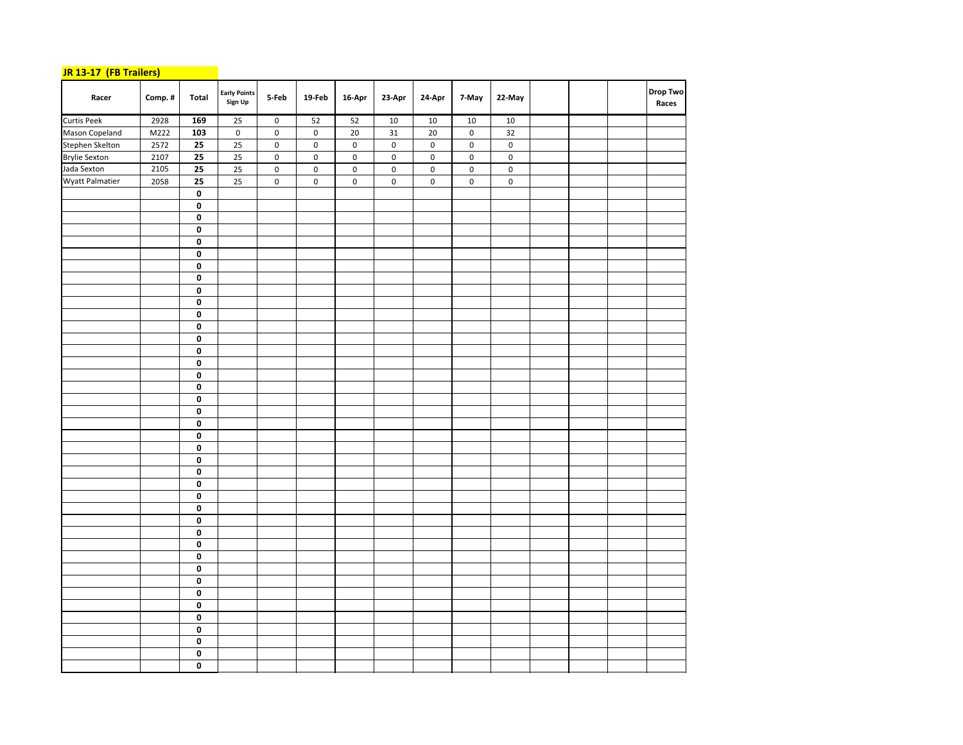## **JR 13‐17 (FB Trailers)**

| Racer                | Comp.# | Total                   | Early Points<br>Sign Up | 5-Feb       | 19-Feb    | $16$ -Apr       | 23-Apr    | 24-Apr          | 7-May     | 22-May      |  | <b>Drop Two</b><br>Races |
|----------------------|--------|-------------------------|-------------------------|-------------|-----------|-----------------|-----------|-----------------|-----------|-------------|--|--------------------------|
| <b>Curtis Peek</b>   | 2928   | 169                     | 25                      | $\mathbf 0$ | 52        | 52              | 10        | $10\,$          | 10        | 10          |  |                          |
| Mason Copeland       | M222   | 103                     | $\pmb{0}$               | $\pmb{0}$   | $\pmb{0}$ | $\overline{20}$ | 31        | $\overline{20}$ | $\pmb{0}$ | 32          |  |                          |
| Stephen Skelton      | 2572   | $\overline{25}$         | $\overline{25}$         | $\pmb{0}$   | $\pmb{0}$ | $\pmb{0}$       | $\pmb{0}$ | $\pmb{0}$       | $\pmb{0}$ | $\pmb{0}$   |  |                          |
| <b>Brylie Sexton</b> | 2107   | $\overline{25}$         | 25                      | $\pmb{0}$   | $\pmb{0}$ | $\mathsf 0$     | $\pmb{0}$ | $\pmb{0}$       | 0         | $\pmb{0}$   |  |                          |
| Jada Sexton          | 2105   | $\overline{25}$         | $\overline{25}$         | $\pmb{0}$   | $\pmb{0}$ | $\pmb{0}$       | $\pmb{0}$ | $\pmb{0}$       | 0         | $\pmb{0}$   |  |                          |
| Wyatt Palmatier      | 2058   | 25                      | 25                      | $\pmb{0}$   | $\pmb{0}$ | $\mathsf 0$     | $\pmb{0}$ | $\pmb{0}$       | 0         | $\mathbf 0$ |  |                          |
|                      |        | $\overline{\mathbf{0}}$ |                         |             |           |                 |           |                 |           |             |  |                          |
|                      |        | $\pmb{0}$               |                         |             |           |                 |           |                 |           |             |  |                          |
|                      |        | $\pmb{0}$               |                         |             |           |                 |           |                 |           |             |  |                          |
|                      |        | $\pmb{0}$               |                         |             |           |                 |           |                 |           |             |  |                          |
|                      |        | $\pmb{0}$               |                         |             |           |                 |           |                 |           |             |  |                          |
|                      |        | $\pmb{0}$               |                         |             |           |                 |           |                 |           |             |  |                          |
|                      |        | $\overline{\mathbf{0}}$ |                         |             |           |                 |           |                 |           |             |  |                          |
|                      |        | $\overline{\mathbf{0}}$ |                         |             |           |                 |           |                 |           |             |  |                          |
|                      |        | $\pmb{0}$               |                         |             |           |                 |           |                 |           |             |  |                          |
|                      |        | $\pmb{0}$               |                         |             |           |                 |           |                 |           |             |  |                          |
|                      |        | $\pmb{0}$               |                         |             |           |                 |           |                 |           |             |  |                          |
|                      |        | $\pmb{0}$               |                         |             |           |                 |           |                 |           |             |  |                          |
|                      |        | $\pmb{0}$<br>$\pmb{0}$  |                         |             |           |                 |           |                 |           |             |  |                          |
|                      |        | 0                       |                         |             |           |                 |           |                 |           |             |  |                          |
|                      |        | $\pmb{0}$               |                         |             |           |                 |           |                 |           |             |  |                          |
|                      |        | $\pmb{0}$               |                         |             |           |                 |           |                 |           |             |  |                          |
|                      |        | $\pmb{0}$               |                         |             |           |                 |           |                 |           |             |  |                          |
|                      |        | $\pmb{0}$               |                         |             |           |                 |           |                 |           |             |  |                          |
|                      |        | $\pmb{0}$               |                         |             |           |                 |           |                 |           |             |  |                          |
|                      |        | $\pmb{0}$               |                         |             |           |                 |           |                 |           |             |  |                          |
|                      |        | $\pmb{0}$               |                         |             |           |                 |           |                 |           |             |  |                          |
|                      |        | $\overline{\mathbf{0}}$ |                         |             |           |                 |           |                 |           |             |  |                          |
|                      |        | $\overline{\mathbf{0}}$ |                         |             |           |                 |           |                 |           |             |  |                          |
|                      |        | $\overline{\mathbf{0}}$ |                         |             |           |                 |           |                 |           |             |  |                          |
|                      |        | $\overline{\mathbf{0}}$ |                         |             |           |                 |           |                 |           |             |  |                          |
|                      |        | $\pmb{0}$               |                         |             |           |                 |           |                 |           |             |  |                          |
|                      |        | $\pmb{0}$               |                         |             |           |                 |           |                 |           |             |  |                          |
|                      |        | 0                       |                         |             |           |                 |           |                 |           |             |  |                          |
|                      |        | $\mathbf 0$             |                         |             |           |                 |           |                 |           |             |  |                          |
|                      |        | $\mathbf 0$             |                         |             |           |                 |           |                 |           |             |  |                          |
|                      |        | $\pmb{0}$               |                         |             |           |                 |           |                 |           |             |  |                          |
|                      |        | $\overline{\mathbf{0}}$ |                         |             |           |                 |           |                 |           |             |  |                          |
|                      |        | $\overline{\mathbf{0}}$ |                         |             |           |                 |           |                 |           |             |  |                          |
|                      |        | $\overline{\mathbf{0}}$ |                         |             |           |                 |           |                 |           |             |  |                          |
|                      |        | $\pmb{0}$               |                         |             |           |                 |           |                 |           |             |  |                          |
|                      |        | $\overline{\mathbf{0}}$ |                         |             |           |                 |           |                 |           |             |  |                          |
|                      |        | 0                       |                         |             |           |                 |           |                 |           |             |  |                          |
|                      |        | 0                       |                         |             |           |                 |           |                 |           |             |  |                          |
|                      |        | $\bf{0}$                |                         |             |           |                 |           |                 |           |             |  |                          |